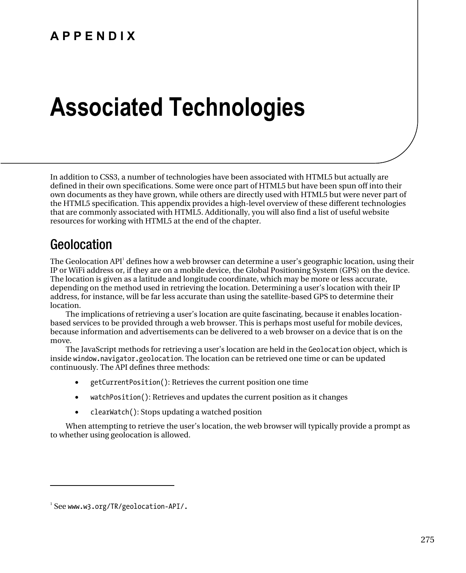### **APPFNDIX**

# **Associated Technologies**

In addition to CSS3, a number of technologies have been associated with HTML5 but actually are defined in their own specifications. Some were once part of HTML5 but have been spun off into their own documents as they have grown, while others are directly used with HTML5 but were never part of the HTML5 specification. This appendix provides a high-level overview of these different technologies that are commonly associated with HTML5. Additionally, you will also find a list of useful website resources for working with HTML5 at the end of the chapter.

### Geolocation

The Geolocation API<sup>1</sup> defines how a web browser can determine a user's geographic location, using their IP or WiFi address or, if they are on a mobile device, the Global Positioning System (GPS) on the device. The location is given as a latitude and longitude coordinate, which may be more or less accurate, depending on the method used in retrieving the location. Determining a user's location with their IP address, for instance, will be far less accurate than using the satellite-based GPS to determine their location.

The implications of retrieving a user's location are quite fascinating, because it enables locationbased services to be provided through a web browser. This is perhaps most useful for mobile devices, because information and advertisements can be delivered to a web browser on a device that is on the move.

The JavaScript methods for retrieving a user's location are held in the Geolocation object, which is inside window navigator geolocation. The location can be retrieved one time or can be updated continuously. The API defines three methods:

- getCurrentPosition(): Retrieves the current position one time
- watchPosition(): Retrieves and updates the current position as it changes
- clearWatch(): Stops updating a watched position

When attempting to retrieve the user's location, the web browser will typically provide a prompt as to whether using geolocation is allowed.

 $^1$  See www.w3.org/TR/geolocation-API/.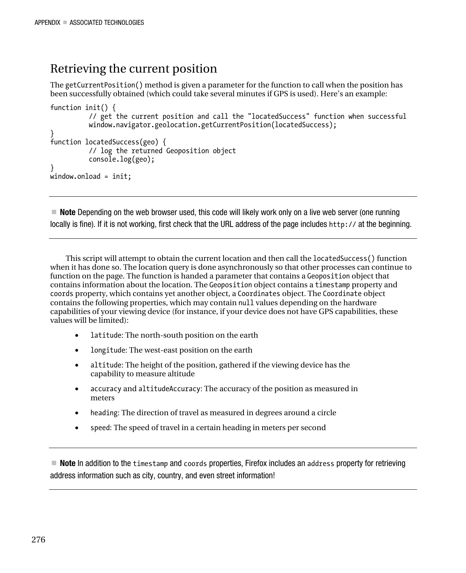### Retrieving the current position

The getCurrentPosition() method is given a parameter for the function to call when the position has been successfully obtained (which could take several minutes if GPS is used). Here's an example:

```
function init() { 
           // get the current position and call the "locatedSuccess" function when successful 
           window.navigator.geolocation.getCurrentPosition(locatedSuccess); 
} 
function locatedSuccess(geo) { 
           // log the returned Geoposition object 
           console.log(geo); 
} 
window.onload = init;
```
■ Note Depending on the web browser used, this code will likely work only on a live web server (one running locally is fine). If it is not working, first check that the URL address of the page includes http:// at the beginning.

This script will attempt to obtain the current location and then call the located Success() function when it has done so. The location query is done asynchronously so that other processes can continue to function on the page. The function is handed a parameter that contains a Geoposition object that contains information about the location. The Geoposition object contains a timestamp property and coords property, which contains yet another object, a Coordinates object. The Coordinate object contains the following properties, which may contain null values depending on the hardware capabilities of your viewing device (for instance, if your device does not have GPS capabilities, these values will be limited):

- latitude: The north-south position on the earth
- longitude: The west-east position on the earth
- altitude: The height of the position, gathered if the viewing device has the capability to measure altitude
- accuracy and altitudeAccuracy: The accuracy of the position as measured in meters
- heading: The direction of travel as measured in degrees around a circle
- speed: The speed of travel in a certain heading in meters per second

■ **Note** In addition to the timestamp and coords properties, Firefox includes an address property for retrieving address information such as city, country, and even street information!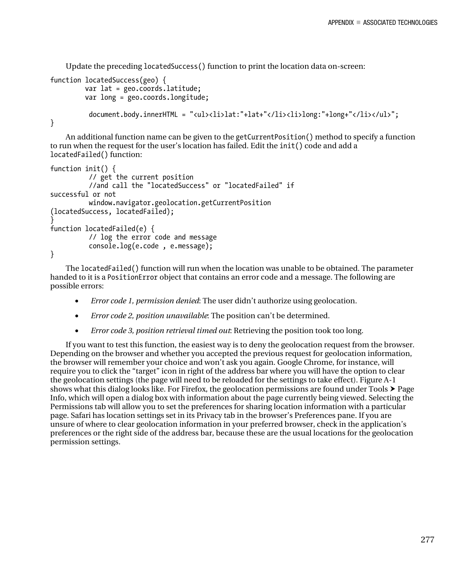Update the preceding locatedSuccess() function to print the location data on-screen:

```
function locatedSuccess(geo) { 
          var lat = geo.coords.latitude; 
          var long = geo.coords.longitude; 
          document.body.innerHTML = "<ul><li>lat:"+lat+"</li><li>long:"+long+"</li></ul>";
}
```
An additional function name can be given to the getCurrentPosition() method to specify a function to run when the request for the user's location has failed. Edit the init () code and add a locatedFailed() function:

```
function init() { 
           // get the current position 
           //and call the "locatedSuccess" or "locatedFailed" if 
successful or not 
           window.navigator.geolocation.getCurrentPosition 
(locatedSuccess, locatedFailed); 
} 
function locatedFailed(e) { 
           // log the error code and message 
           console.log(e.code , e.message); 
}
```
The locatedFailed() function will run when the location was unable to be obtained. The parameter handed to it is a PositionError object that contains an error code and a message. The following are possible errors:

- *Error code 1, permission denied*: The user didn't authorize using geolocation.
- *Error code 2, position unavailable*: The position can't be determined.
- *Error code 3, position retrieval timed out*: Retrieving the position took too long.

If you want to test this function, the easiest way is to deny the geolocation request from the browser. Depending on the browser and whether you accepted the previous request for geolocation information, the browser will remember your choice and won't ask you again. Google Chrome, for instance, will require you to click the "target" icon in right of the address bar where you will have the option to clear the geolocation settings (the page will need to be reloaded for the settings to take effect). Figure A-1 shows what this dialog looks like. For Firefox, the geolocation permissions are found under Tools > Page Info, which will open a dialog box with information about the page currently being viewed. Selecting the Permissions tab will allow you to set the preferences for sharing location information with a particular page. Safari has location settings set in its Privacy tab in the browser's Preferences pane. If you are unsure of where to clear geolocation information in your preferred browser, check in the application's preferences or the right side of the address bar, because these are the usual locations for the geolocation permission settings.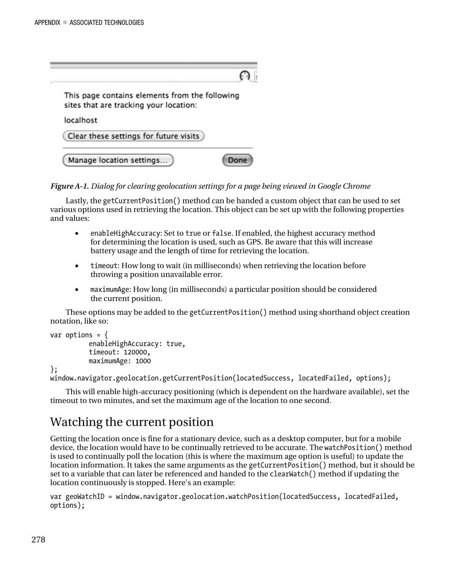This page contains elements from the following sites that are tracking your location: localhost Clear these settings for future visits Manage location settings... Done

#### *Figure A-1. Dialog for clearing geolocation settings for a page being viewed in Google Chrome*

Lastly, the getCurrentPosition() method can be handed a custom object that can be used to set various options used in retrieving the location. This object can be set up with the following properties and values:

- enableHighAccuracy: Set to true or false. If enabled, the highest accuracy method for determining the location is used, such as GPS. Be aware that this will increase battery usage and the length of time for retrieving the location.
- timeout: How long to wait (in milliseconds) when retrieving the location before throwing a position unavailable error.
- maximumAge: How long (in milliseconds) a particular position should be considered the current position.

These options may be added to the getCurrentPosition() method using shorthand object creation notation, like so:

```
var options = \{ enableHighAccuracy: true, 
            timeout: 120000, 
            maximumAge: 1000
```
};

window.navigator.geolocation.getCurrentPosition(locatedSuccess, locatedFailed, options);

This will enable high-accuracy positioning (which is dependent on the hardware available), set the time out to two minutes, and set the maximum age of the location to one second.

### Watching the current position

Getting the location once is fine for a stationary device, such as a desktop computer, but for a mobile device, the location would have to be continually retrieved to be accurate. The watchPosition() method is used to continually poll the location (this is where the maximum age option is useful) to update the location information. It takes the same arguments as the getCurrentPosition() method, but it should be set to a variable that can later be referenced and handed to the clearWatch() method if updating the location continuously is stopped. Here's an example:

var geoWatchID = window.navigator.geolocation.watchPosition(locatedSuccess, locatedFailed, options);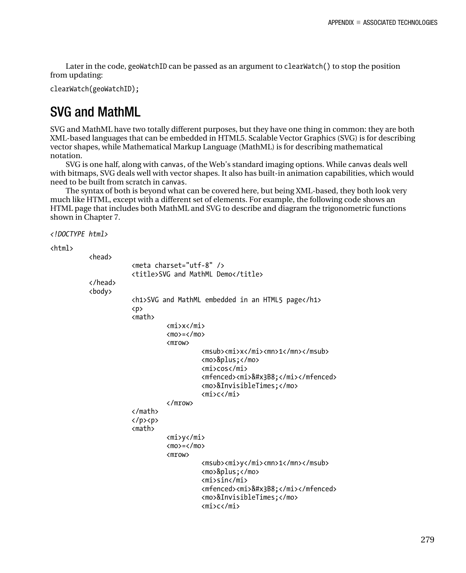Later in the code, geoWatchID can be passed as an argument to clearWatch() to stop the position from updating:

clearWatch(geoWatchID);

### SVG and MathML

SVG and MathML have two totally different purposes, but they have one thing in common: they are both XML-based languages that can be embedded in HTML5. Scalable Vector Graphics (SVG) is for describing vector shapes, while Mathematical Markup Language (MathML) is for describing mathematical notation.

SVG is one half, along with canvas, of the Web's standard imaging options. While canvas deals well with bitmaps, SVG deals well with vector shapes. It also has built-in animation capabilities, which would need to be built from scratch in canvas.

The syntax of both is beyond what can be covered here, but being XML-based, they both look very much like HTML, except with a different set of elements. For example, the following code shows an HTML page that includes both MathML and SVG to describe and diagram the trigonometric functions shown in Chapter 7.

```
<!DOCTYPE html>
```
<html>

```
 <head> 
              <meta charset="utf-8" /> 
              <title>SVG and MathML Demo</title> 
 </head> 
 <body> 
              <h1>SVG and MathML embedded in an HTML5 page</h1> 
              <p> 
             <math>
                        <mi>x</mi> 
                        <mo>=</mo> 
                        <mrow> 
                                   <msub><mi>x</mi><mn>1</mn></msub> 
                                  <mo>&plus;</mo>
                                   <mi>cos</mi> 
                                   <mfenced><mi>&#x3B8;</mi></mfenced> 
                                  <mo>&InvisibleTimes;</mo>
                                   <mi>c</mi> 
                        </mrow> 
              </math> 
              </p><p> 
             <math>
                        <mi>y</mi> 
                       <sub>0</sub> = < /mo</sub>
                        <mrow> 
                                   <msub><mi>y</mi><mn>1</mn></msub> 
                                  <mo>&plus;</mo>
                                   <mi>sin</mi> 
                                   <mfenced><mi>&#x3B8;</mi></mfenced> 
                                  <mo>&InvisibleTimes;</mo>
                                   <mi>c</mi>
```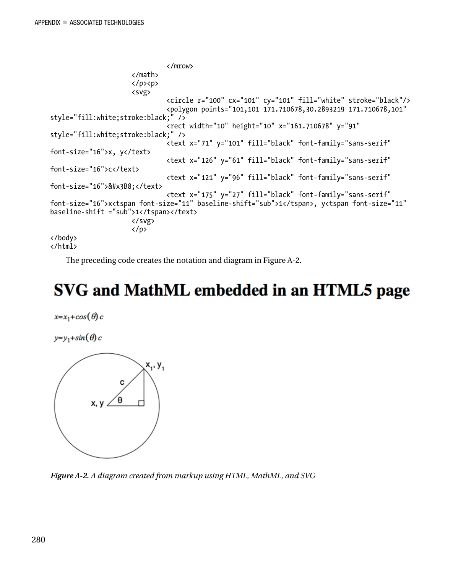```
 </mrow> 
                      \langle/math\rangle\langle/p>\langlep>
                       <svg> 
                                 <circle r="100" cx="101" cy="101" fill="white" stroke="black"/> 
                                 <polygon points="101,101 171.710678,30.2893219 171.710678,101" 
style="fill:white;stroke:black;" /> 
                                 <rect width="10" height="10" x="161.710678" y="91" 
style="fill:white;stroke:black;" /> 
                                 <text x="71" y="101" fill="black" font-family="sans-serif" 
font-size="16">x, y</text> 
                                 <text x="126" y="61" fill="black" font-family="sans-serif" 
font-size="16">c</text> 
                                 <text x="121" y="96" fill="black" font-family="sans-serif" 
font-size="16">θ</text>
                                 <text x="175" y="27" fill="black" font-family="sans-serif" 
font-size="16">x<tspan font-size="11" baseline-shift="sub">1</tspan>, y<tspan font-size="11" 
baseline-shift ="sub">1</tspan></text> 
                       </svg> 
                      \langle/p>
</body> 
</html>
```
The preceding code creates the notation and diagram in Figure A-2.

# SVG and MathML embedded in an HTML5 page

 $x=x_1+cos(\theta)c$ 

 $y=y_1+sin(\theta)c$ 



*Figure A-2. A diagram created from markup using HTML, MathML, and SVG*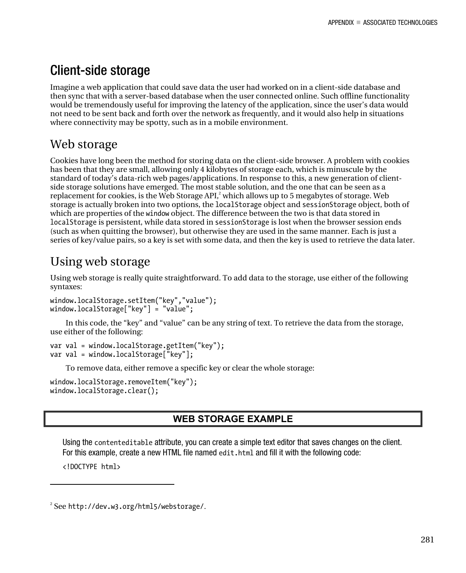## **Client-side storage**

Imagine a web application that could save data the user had worked on in a client-side database and then sync that with a server-based database when the user connected online. Such offline functionality would be tremendously useful for improving the latency of the application, since the user's data would not need to be sent back and forth over the network as frequently, and it would also help in situations where connectivity may be spotty, such as in a mobile environment.

### Web storage

Cookies have long been the method for storing data on the client-side browser. A problem with cookies has been that they are small, allowing only 4 kilobytes of storage each, which is minuscule by the standard of today's data-rich web pages/applications. In response to this, a new generation of clientside storage solutions have emerged. The most stable solution, and the one that can be seen as a replacement for cookies, is the Web Storage API,<sup>2</sup> which allows up to 5 megabytes of storage. Web storage is actually broken into two options, the localStorage object and sessionStorage object, both of which are properties of the window object. The difference between the two is that data stored in localStorage is persistent, while data stored in sessionStorage is lost when the browser session ends (such as when quitting the browser), but otherwise they are used in the same manner. Each is just a series of key/value pairs, so a key is set with some data, and then the key is used to retrieve the data later.

### Using web storage

Using web storage is really quite straightforward. To add data to the storage, use either of the following syntaxes:

```
window.localStorage.setItem("key","value");
window. localStorage["key"] = "value";
```
In this code, the "key" and "value" can be any string of text. To retrieve the data from the storage, use either of the following:

```
var val = window.localStorage.getItem("key");
var val = window.localStorage["key"];
```
To remove data, either remove a specific key or clear the whole storage:

```
window.localStorage.removeItem("key");
window.localStorage.clear();
```
#### **WEB STORAGE EXAMPLE**

Using the contenteditable attribute, you can create a simple text editor that saves changes on the client. For this example, create a new HTML file named edit.html and fill it with the following code:

<!DOCTYPE html>

<sup>&</sup>lt;sup>2</sup> See http://dev.w3.org/html5/webstorage/.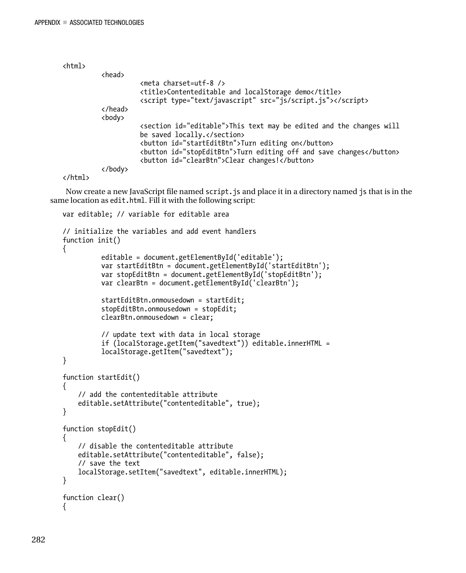```
<html> 
           <head> 
                      <meta charset=utf-8 /> 
                      <title>Contenteditable and localStorage demo</title> 
                      <script type="text/javascript" src="js/script.js"></script> 
           </head> 
           <body> 
                      <section id="editable">This text may be edited and the changes will 
                     be saved locally.</section>
                      <button id="startEditBtn">Turn editing on</button> 
                      <button id="stopEditBtn">Turn editing off and save changes</button> 
                      <button id="clearBtn">Clear changes!</button> 
           </body>
```

```
</html>
```
Now create a new JavaScript file named script. js and place it in a directory named js that is in the same location as edit.html. Fill it with the following script:

```
var editable; // variable for editable area 
// initialize the variables and add event handlers 
function init() 
{ 
           editable = document.getElementById('editable'); 
           var startEditBtn = document.getElementById('startEditBtn'); 
           var stopEditBtn = document.getElementById('stopEditBtn'); 
           var clearBtn = document.getElementById('clearBtn'); 
           startEditBtn.onmousedown = startEdit; 
           stopEditBtn.onmousedown = stopEdit; 
           clearBtn.onmousedown = clear; 
           // update text with data in local storage 
           if (localStorage.getItem("savedtext")) editable.innerHTML = 
           localStorage.getItem("savedtext"); 
} 
function startEdit() 
{ 
     // add the contenteditable attribute 
     editable.setAttribute("contenteditable", true); 
} 
function stopEdit() 
{ 
     // disable the contenteditable attribute 
     editable.setAttribute("contenteditable", false); 
     // save the text 
     localStorage.setItem("savedtext", editable.innerHTML); 
} 
function clear() 
{
```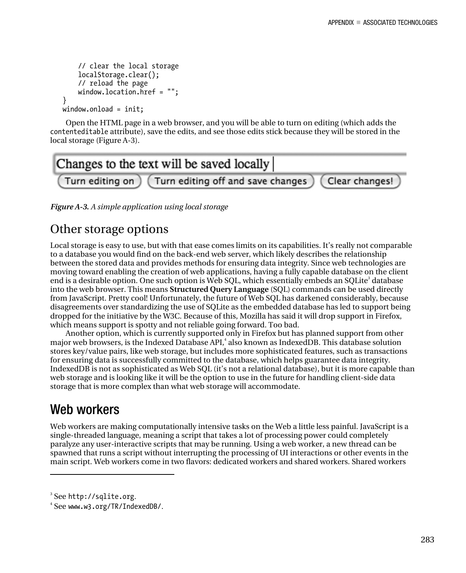```
 // clear the local storage 
     localStorage.clear(); 
     // reload the page 
    window.location.href = "";
} 
window.onload = init;
```
Open the HTML page in a web browser, and you will be able to turn on editing (which adds the contenteditable attribute), save the edits, and see those edits stick because they will be stored in the local storage (Figure A-3).



*Figure A-3. A simple application using local storage* 

### Other storage options

Local storage is easy to use, but with that ease comes limits on its capabilities. It's really not comparable to a database you would find on the back-end web server, which likely describes the relationship between the stored data and provides methods for ensuring data integrity. Since web technologies are moving toward enabling the creation of web applications, having a fully capable database on the client end is a desirable option. One such option is Web SQL, which essentially embeds an SQLite $^{\circ}$  database into the web browser. This means **Structured Query Language** (SQL) commands can be used directly from JavaScript. Pretty cool! Unfortunately, the future of Web SQL has darkened considerably, because disagreements over standardizing the use of SQLite as the embedded database has led to support being dropped for the initiative by the W3C. Because of this, Mozilla has said it will drop support in Firefox, which means support is spotty and not reliable going forward. Too bad.

Another option, which is currently supported only in Firefox but has planned support from other major web browsers, is the Indexed Database API,<sup>4</sup> also known as IndexedDB. This database solution stores key/value pairs, like web storage, but includes more sophisticated features, such as transactions for ensuring data is successfully committed to the database, which helps guarantee data integrity. IndexedDB is not as sophisticated as Web SQL (it's not a relational database), but it is more capable than web storage and is looking like it will be the option to use in the future for handling client-side data storage that is more complex than what web storage will accommodate.

### Web workers

Web workers are making computationally intensive tasks on the Web a little less painful. JavaScript is a single-threaded language, meaning a script that takes a lot of processing power could completely paralyze any user-interactive scripts that may be running. Using a web worker, a new thread can be spawned that runs a script without interrupting the processing of UI interactions or other events in the main script. Web workers come in two flavors: dedicated workers and shared workers. Shared workers

 $3$  See http://sqlite.org.

 $^4$  See www.w3.org/TR/IndexedDB/.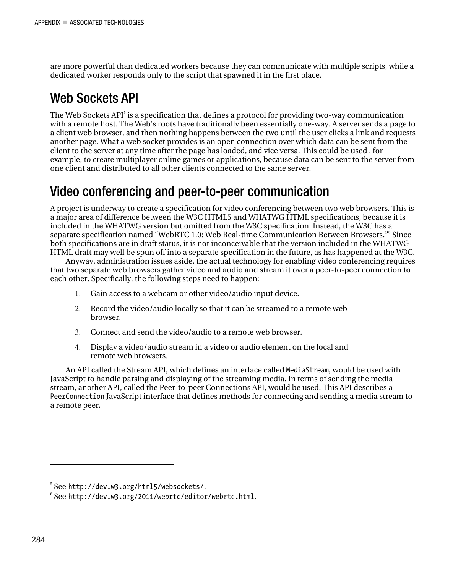are more powerful than dedicated workers because they can communicate with multiple scripts, while a dedicated worker responds only to the script that spawned it in the first place.

## Web Sockets API

The Web Sockets API<sup>5</sup> is a specification that defines a protocol for providing two-way communication with a remote host. The Web's roots have traditionally been essentially one-way. A server sends a page to a client web browser, and then nothing happens between the two until the user clicks a link and requests another page. What a web socket provides is an open connection over which data can be sent from the client to the server at any time after the page has loaded, and vice versa. This could be used, for example, to create multiplayer online games or applications, because data can be sent to the server from one client and distributed to all other clients connected to the same server.

### Video conferencing and peer-to-peer communication

A project is underway to create a specification for video conferencing between two web browsers. This is a major area of difference between the W3C HTML5 and WHATWG HTML specifications, because it is included in the WHATWG version but omitted from the W3C specification. Instead, the W3C has a separate specification named "WebRTC 1.0: Web Real-time Communication Between Browsers."<sup>6</sup> Since both specifications are in draft status, it is not inconceivable that the version included in the WHATWG HTML draft may well be spun off into a separate specification in the future, as has happened at the W3C.

Anyway, administration issues aside, the actual technology for enabling video conferencing requires that two separate web browsers gather video and audio and stream it over a peer-to-peer connection to each other. Specifically, the following steps need to happen:

- 1. Gain access to a webcam or other video/audio input device.
- 2. Record the video/audio locally so that it can be streamed to a remote web browser.
- 3. Connect and send the video/audio to a remote web browser.
- 4. Display a video/audio stream in a video or audio element on the local and remote web browsers.

An API called the Stream API, which defines an interface called MediaStream, would be used with JavaScript to handle parsing and displaying of the streaming media. In terms of sending the media stream, another API, called the Peer-to-peer Connections API, would be used. This API describes a PeerConnection JavaScript interface that defines methods for connecting and sending a media stream to a remote peer.

 $5$  See http://dev.w3.org/html5/websockets/.

 $^6$  See http://dev.w3.org/2011/webrtc/editor/webrtc.html.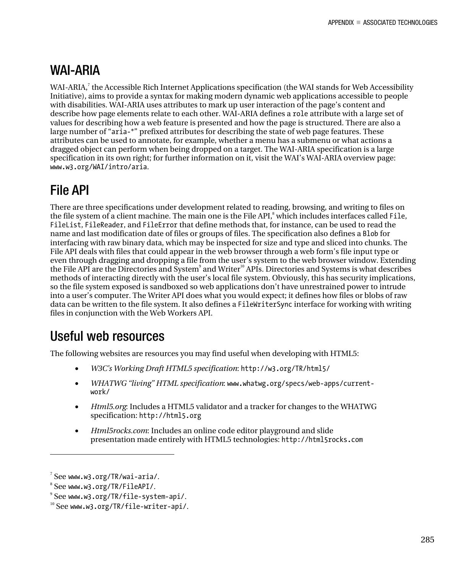# WAI-ARIA

WAI-ARIA, $^7$  the Accessible Rich Internet Applications specification (the WAI stands for Web Accessibility Initiative), aims to provide a syntax for making modern dynamic web applications accessible to people with disabilities. WAI-ARIA uses attributes to mark up user interaction of the page's content and describe how page elements relate to each other. WAI-ARIA defines a role attribute with a large set of values for describing how a web feature is presented and how the page is structured. There are also a large number of "aria-\*" prefixed attributes for describing the state of web page features. These attributes can be used to annotate, for example, whether a menu has a submenu or what actions a dragged object can perform when being dropped on a target. The WAI-ARIA specification is a large specification in its own right; for further information on it, visit the WAI's WAI-ARIA overview page: www.w3.org/WAI/intro/aria

## File API

There are three specifications under development related to reading, browsing, and writing to files on the file system of a client machine. The main one is the File API,<sup>8</sup> which includes interfaces called File, FileList, FileReader, and FileError that define methods that, for instance, can be used to read the name and last modification date of files or groups of files. The specification also defines a Blob for interfacing with raw binary data, which may be inspected for size and type and sliced into chunks. The File API deals with files that could appear in the web browser through a web form's file input type or even through dragging and dropping a file from the user's system to the web browser window. Extending the File API are the Directories and System<sup>9</sup> and Writer<sup>10</sup> APIs. Directories and Systems is what describes methods of interacting directly with the user's local file system. Obviously, this has security implications, so the file system exposed is sandboxed so web applications don't have unrestrained power to intrude into a user's computer. The Writer API does what you would expect; it defines how files or blobs of raw data can be written to the file system. It also defines a FileWriterSync interface for working with writing files in conjunction with the Web Workers API.

## Useful web resources

The following websites are resources you may find useful when developing with HTML5:

- *W3C's Working Draft HTML5 specification*: http://w3.org/TR/html5/
- *WHATWG "living" HTML specification*: www.whatwg.org/specs/web-apps/currentwork/
- *Html5.org*: Includes a HTML5 validator and a tracker for changes to the WHATWG specification: http://html5.org
- *Html5rocks.com*: Includes an online code editor playground and slide presentation made entirely with HTML5 technologies: http://html5rocks.com

 $7$  See www.w3.org/TR/wai-aria/.

 $^8$  See www.w3.org/TR/FileAPI/.

 $^{\circ}$  See www.w3.org/TR/file-system-api/.

 $10$  See www.w3.org/TR/file-writer-api/.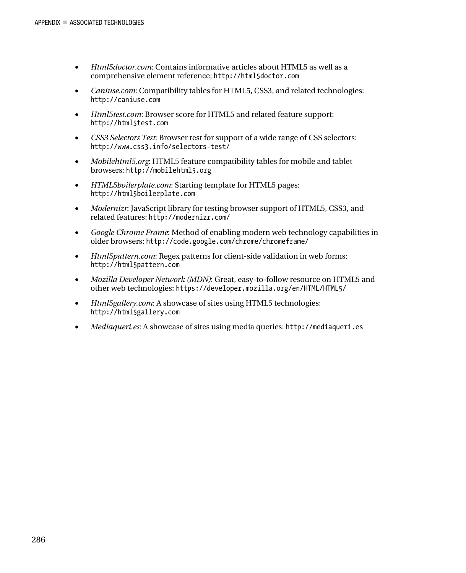- *Html5doctor.com:* Contains informative articles about HTML5 as well as a comprehensive element reference; http://html5doctor.com
- Caniuse.com: Compatibility tables for HTML5, CSS3, and related technologies: http://caniuse.com
- *Html5test.com*: Browser score for HTML5 and related feature support: http://html5test.com
- *CSS3 Selectors Test*: Browser test for support of a wide range of CSS selectors: http://www.css3.info/selectors-test/
- *Mobilehtml5.org*: HTML5 feature compatibility tables for mobile and tablet browsers: http://mobilehtml5.org
- *HTML5boilerplate.com*: Starting template for HTML5 pages: http://html5boilerplate.com
- *Modernizr*: JavaScript library for testing browser support of HTML5, CSS3, and related features: http://modernizr.com/
- *Google Chrome Frame*: Method of enabling modern web technology capabilities in older browsers: http://code.google.com/chrome/chromeframe/
- *Html5pattern.com*: Regex patterns for client-side validation in web forms: http://html5pattern.com
- *Mozilla Developer Network (MDN)*: Great, easy-to-follow resource on HTML5 and other web technologies: https://developer.mozilla.org/en/HTML/HTML5/
- *Html5gallery.com*: A showcase of sites using HTML5 technologies: http://html5gallery.com
- *Mediaqueri.es*: A showcase of sites using media queries: http://mediaqueri.es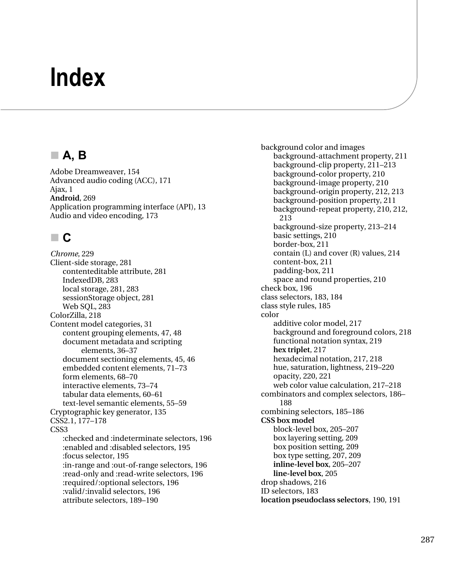# Index

### $\blacksquare$  A. B

Adobe Dreamweaver, 154 Advanced audio coding (ACC), 171 Aiax. 1 Android, 269 Application programming interface (API), 13 Audio and video encoding, 173

### $\Box$  C

Chrome, 229 Client-side storage, 281 contenteditable attribute, 281 IndexedDB, 283 local storage, 281, 283 sessionStorage object, 281 Web SOL, 283 ColorZilla, 218 Content model categories, 31 content grouping elements, 47, 48 document metadata and scripting elements, 36-37 document sectioning elements, 45, 46 embedded content elements, 71-73 form elements, 68-70 interactive elements, 73-74 tabular data elements, 60-61 text-level semantic elements, 55-59 Cryptographic key generator, 135 CSS2.1, 177-178  $CSS3$ :checked and :indeterminate selectors, 196 enabled and :disabled selectors, 195 :focus selector, 195 :in-range and :out-of-range selectors, 196 :read-only and :read-write selectors, 196 :required/:optional selectors, 196 :valid/:invalid selectors, 196 attribute selectors, 189-190

background color and images background-attachment property, 211 background-clip property, 211-213 background-color property, 210 background-image property, 210 background-origin property, 212, 213 background-position property, 211 background-repeat property, 210, 212, 213 background-size property, 213-214 basic settings, 210 border-box, 211 contain (L) and cover (R) values, 214 content-box, 211 padding-box, 211 space and round properties, 210 check box, 196 class selectors, 183, 184 class style rules, 185 color additive color model, 217 background and foreground colors, 218 functional notation syntax, 219 hex triplet, 217 hexadecimal notation, 217, 218 hue, saturation, lightness, 219-220 opacity, 220, 221 web color value calculation, 217-218 combinators and complex selectors, 186-188 combining selectors, 185-186 CSS box model block-level box, 205-207 box layering setting, 209 box position setting, 209 box type setting, 207, 209 inline-level box, 205-207 line-level box, 205 drop shadows, 216 ID selectors, 183 location pseudoclass selectors, 190, 191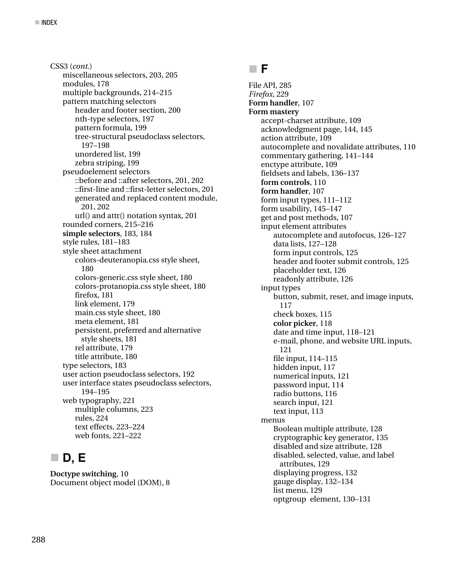CSS3 (cont.) miscellaneous selectors, 203, 205 modules, 178 multiple backgrounds, 214-215 pattern matching selectors header and footer section, 200 nth-type selectors, 197 pattern formula, 199 tree-structural pseudoclass selectors, 197-198 unordered list, 199 zebra striping, 199 pseudoelement selectors ::before and ::after selectors, 201, 202 ::first-line and ::first-letter selectors, 201 generated and replaced content module, 201, 202 url() and attr() notation syntax, 201 rounded corners, 215-216 simple selectors, 183, 184 style rules, 181-183 style sheet attachment colors-deuteranopia.css style sheet, 180 colors-generic.css style sheet, 180 colors-protanopia.css style sheet, 180 firefox, 181 link element, 179 main.css style sheet, 180 meta element, 181 persistent, preferred and alternative style sheets, 181 rel attribute, 179 title attribute, 180 type selectors, 183 user action pseudoclass selectors, 192 user interface states pseudoclass selectors, 194-195 web typography, 221 multiple columns, 223 rules, 224 text effects, 223-224 web fonts, 221-222

## $\blacksquare$  D, E

Doctype switching, 10 Document object model (DOM), 8

### ПF

File API, 285 Firefox, 229 Form handler, 107 **Form mastery** accept-charset attribute, 109 acknowledgment page, 144, 145 action attribute, 109 autocomplete and novalidate attributes, 110 commentary gathering, 141-144 enctype attribute, 109 fieldsets and labels, 136-137 form controls, 110 form handler, 107 form input types, 111-112 form usability, 145-147 get and post methods, 107 input element attributes autocomplete and autofocus, 126-127 data lists, 127-128 form input controls, 125 header and footer submit controls, 125 placeholder text, 126 readonly attribute, 126 input types button, submit, reset, and image inputs, 117 check boxes, 115 color picker, 118 date and time input, 118-121 e-mail, phone, and website URL inputs, 121 file input,  $114-115$ hidden input, 117 numerical inputs, 121 password input, 114 radio buttons, 116 search input, 121 text input, 113 menus Boolean multiple attribute, 128 cryptographic key generator, 135 disabled and size attribute, 128 disabled, selected, value, and label attributes, 129 displaying progress, 132 gauge display, 132-134 list menu, 129 optgroup element, 130-131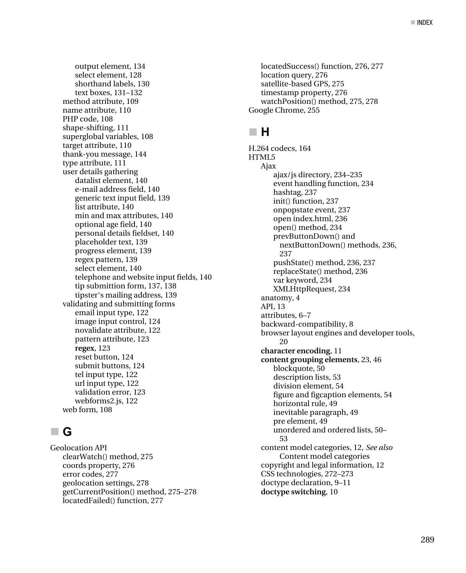output element, 134 select element, 128 shorthand labels, 130 text boxes, 131-132 method attribute, 109 name attribute, 110 PHP code, 108 shape-shifting, 111 superglobal variables, 108 target attribute, 110 thank-you message, 144 type attribute, 111 user details gathering datalist element, 140 e-mail address field, 140 generic text input field, 139 list attribute, 140 min and max attributes, 140 optional age field, 140 personal details fieldset, 140 placeholder text, 139 progress element, 139 regex pattern, 139 select element, 140 telephone and website input fields, 140 tip submittion form, 137, 138 tipster's mailing address, 139 validating and submitting forms email input type, 122 image input control, 124 novalidate attribute, 122 pattern attribute, 123 regex,  $123$ reset button, 124 submit buttons, 124 tel input type, 122 url input type, 122 validation error, 123 webforms2.js, 122 web form, 108

### li G

**Geolocation API** clearWatch() method, 275 coords property, 276 error codes, 277 geolocation settings, 278 getCurrentPosition() method, 275-278 locatedFailed() function, 277

locatedSuccess() function, 276, 277 location query, 276 satellite-based GPS, 275 timestamp property, 276 watchPosition() method, 275, 278 Google Chrome, 255

### $\blacksquare$  H

H.264 codecs, 164 HTML5 Aiax ajax/js directory, 234-235 event handling function, 234 hashtag, 237 init() function, 237 onpopstate event, 237 open index.html, 236 open() method, 234 prevButtonDown() and nextButtonDown() methods, 236, pushState() method, 236, 237 replaceState() method, 236 var keyword, 234 XMLHttpRequest, 234 anatomy, 4 API, 13 attributes, 6-7 backward-compatibility, 8 browser layout engines and developer tools, 20 character encoding, 11 content grouping elements, 23, 46 blockquote, 50 description lists, 53 division element, 54 figure and figcaption elements, 54 horizontal rule, 49 inevitable paragraph, 49 pre element, 49 unordered and ordered lists, 50-53 content model categories, 12, See also Content model categories copyright and legal information, 12 CSS technologies, 272-273 doctype declaration, 9-11 doctype switching, 10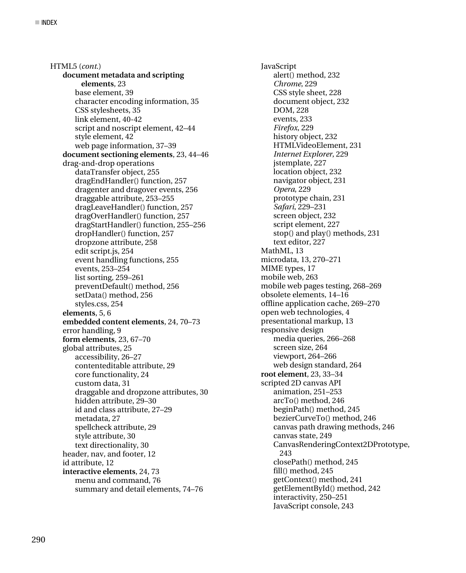HTML5 (cont.) document metadata and scripting elements, 23 base element, 39 character encoding information, 35 CSS stylesheets, 35 link element, 40-42 script and noscript element, 42-44 style element, 42 web page information, 37-39 document sectioning elements, 23, 44-46 drag-and-drop operations dataTransfer object, 255 dragEndHandler() function, 257 dragenter and dragover events, 256 draggable attribute, 253-255 dragLeaveHandler() function, 257 dragOverHandler() function, 257 dragStartHandler() function, 255-256 dropHandler() function, 257 dropzone attribute, 258 edit script.js, 254 event handling functions, 255 events, 253-254 list sorting, 259-261 preventDefault() method, 256 setData() method, 256 styles.css, 254 elements, 5, 6 embedded content elements, 24, 70-73 error handling, 9 form elements, 23, 67-70 global attributes, 25 accessibility, 26–27 contenteditable attribute, 29 core functionality, 24 custom data, 31 draggable and dropzone attributes, 30 hidden attribute, 29-30 id and class attribute, 27-29 metadata, 27 spellcheck attribute, 29 style attribute, 30 text directionality, 30 header, nav, and footer, 12 id attribute, 12 interactive elements, 24, 73 menu and command, 76 summary and detail elements, 74-76

JavaScript alert() method, 232 Chrome, 229 CSS style sheet, 228 document object, 232 DOM, 228 events, 233 Firefox, 229 history object, 232 HTMLVideoElement, 231 Internet Explorer, 229 jstemplate, 227 location object, 232 navigator object, 231 Opera, 229 prototype chain, 231 Safari, 229-231 screen object, 232 script element, 227 stop() and play() methods, 231 text editor, 227 MathML<sub>2</sub>13 microdata, 13, 270-271 MIME types, 17 mobile web, 263 mobile web pages testing, 268–269 obsolete elements, 14-16 offline application cache, 269–270 open web technologies, 4 presentational markup, 13 responsive design media queries, 266-268 screen size, 264 viewport, 264-266 web design standard, 264 root element, 23, 33-34 scripted 2D canvas API animation, 251-253 arcTo() method, 246 beginPath() method, 245 bezierCurveTo() method, 246 canvas path drawing methods, 246 canvas state, 249 CanvasRenderingContext2DPrototype, 243 closePath() method, 245 fill() method, 245 getContext() method, 241 getElementById() method, 242 interactivity, 250-251 JavaScript console, 243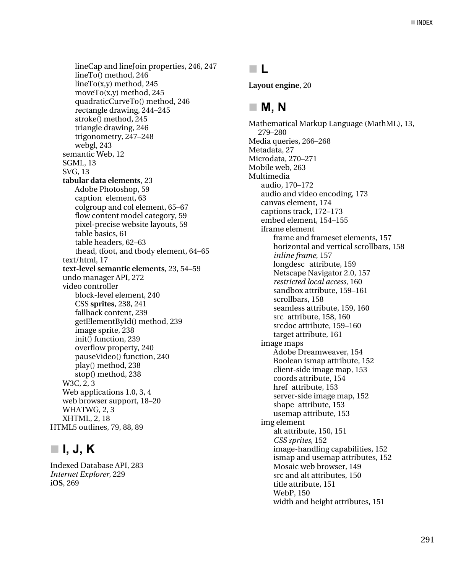lineCap and lineJoin properties, 246, 247 lineTo() method, 246  $lineTo(x,y)$  method, 245 moveTo $(x,y)$  method, 245 quadraticCurveTo() method, 246 rectangle drawing, 244-245 stroke() method, 245 triangle drawing, 246 trigonometry, 247-248 webgl, 243 semantic Web, 12 **SGML, 13 SVG. 13** tabular data elements, 23 Adobe Photoshop, 59 caption element, 63 colgroup and col element, 65-67 flow content model category, 59 pixel-precise website layouts, 59 table basics, 61 table headers, 62-63 thead, tfoot, and tbody element, 64-65 text/html. 17 text-level semantic elements, 23, 54-59 undo manager API, 272 video controller block-level element, 240 CSS sprites, 238, 241 fallback content, 239 getElementById() method, 239 image sprite, 238 init() function, 239 overflow property, 240 pauseVideo() function, 240 play() method, 238 stop() method, 238 W3C, 2, 3 Web applications 1.0, 3, 4 web browser support, 18-20 WHATWG, 2, 3 XHTML, 2, 18 HTML5 outlines, 79, 88, 89

### $\blacksquare$  I, J, K

**Indexed Database API, 283** Internet Explorer, 229 iOS, 269

### **The Co**

Layout engine, 20

### $\blacksquare$  M. N

Mathematical Markup Language (MathML), 13, 279-280 Media queries, 266-268 Metadata, 27 Microdata, 270-271 Mobile web, 263 Multimedia audio, 170-172 audio and video encoding, 173 canvas element, 174 captions track, 172-173 embed element, 154-155 iframe element frame and frameset elements, 157 horizontal and vertical scrollbars, 158 inline frame, 157 longdesc attribute, 159 Netscape Navigator 2.0, 157 restricted local access, 160 sandbox attribute, 159-161 scrollbars, 158 seamless attribute, 159, 160 src attribute, 158, 160 srcdoc attribute, 159-160 target attribute, 161 image maps Adobe Dreamweaver, 154 Boolean ismap attribute, 152 client-side image map, 153 coords attribute, 154 href attribute, 153 server-side image map, 152 shape attribute, 153 usemap attribute, 153 img element alt attribute, 150, 151 CSS sprites, 152 image-handling capabilities, 152 ismap and usemap attributes, 152 Mosaic web browser, 149 src and alt attributes, 150 title attribute, 151 WebP, 150 width and height attributes, 151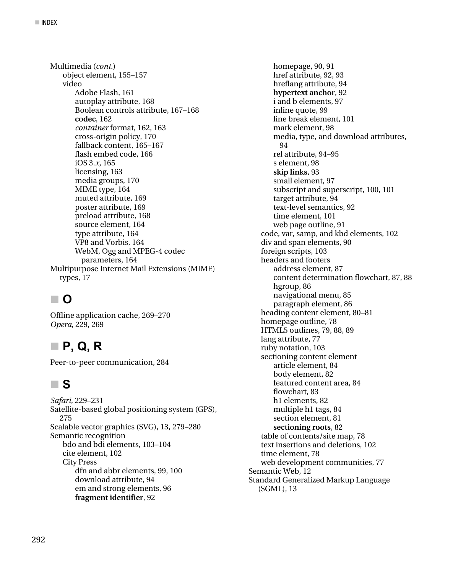Multimedia (cont.) object element, 155-157 video Adobe Flash, 161 autoplay attribute, 168 Boolean controls attribute, 167-168 codec, 162 container format, 162, 163 cross-origin policy, 170 fallback content, 165-167 flash embed code, 166  $iOS 3.x. 165$ licensing, 163 media groups, 170 MIME type, 164 muted attribute, 169 poster attribute, 169 preload attribute, 168 source element, 164 type attribute, 164 VP8 and Vorbis, 164 WebM, Ogg and MPEG-4 codec parameters, 164 Multipurpose Internet Mail Extensions (MIME) types, 17

### ם ∎

Offline application cache, 269-270 Opera, 229, 269

## $\blacksquare$  P, Q, R

Peer-to-peer communication, 284

### $\blacksquare$  S

Safari, 229-231 Satellite-based global positioning system (GPS), 275 Scalable vector graphics (SVG), 13, 279–280 Semantic recognition bdo and bdi elements, 103-104 cite element, 102 **City Press** dfn and abbr elements, 99, 100 download attribute, 94 em and strong elements, 96 fragment identifier, 92

homepage, 90, 91 href attribute, 92, 93 hreflang attribute, 94 hypertext anchor, 92 i and b elements, 97 inline quote, 99 line break element, 101 mark element, 98 media, type, and download attributes, 94 rel attribute, 94-95 s element, 98 skip links, 93 small element, 97 subscript and superscript, 100, 101 target attribute, 94 text-level semantics, 92 time element, 101 web page outline, 91 code, var, samp, and kbd elements, 102 div and span elements, 90 foreign scripts, 103 headers and footers address element, 87 content determination flowchart, 87, 88 hgroup, 86 navigational menu, 85 paragraph element, 86 heading content element, 80-81 homepage outline, 78 HTML5 outlines, 79, 88, 89 lang attribute, 77 ruby notation, 103 sectioning content element article element, 84 body element, 82 featured content area, 84 flowchart, 83 h1 elements, 82 multiple h1 tags, 84 section element, 81 sectioning roots, 82 table of contents/site map, 78 text insertions and deletions, 102 time element, 78 web development communities, 77 Semantic Web, 12 **Standard Generalized Markup Language**  $(SGML)$ , 13